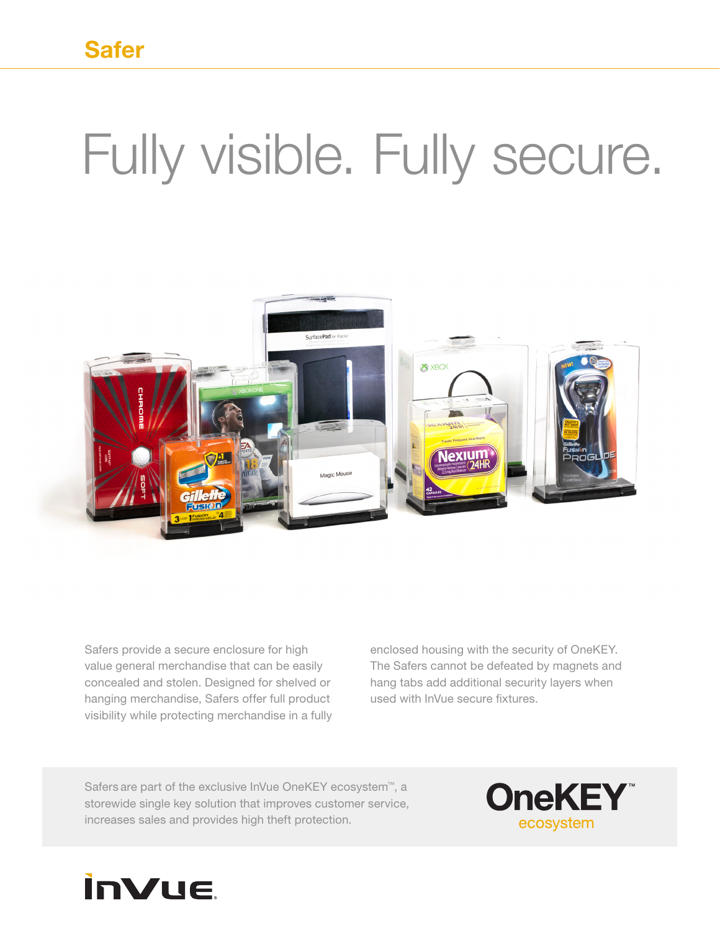## Fully visible. Fully secure.



Safers provide a secure enclosure for high value general merchandise that can be easily concealed and stolen. Designed for shelved or hanging merchandise, Safers offer full product visibility while protecting merchandise in a fully enclosed housing with the security of OneKEY. The Safers cannot be defeated by magnets and hang tabs add additional security layers when used with InVue secure fixtures.

Safers are part of the exclusive InVue OneKEY ecosystem™, a storewide single key solution that improves customer service, increases sales and provides high theft protection.